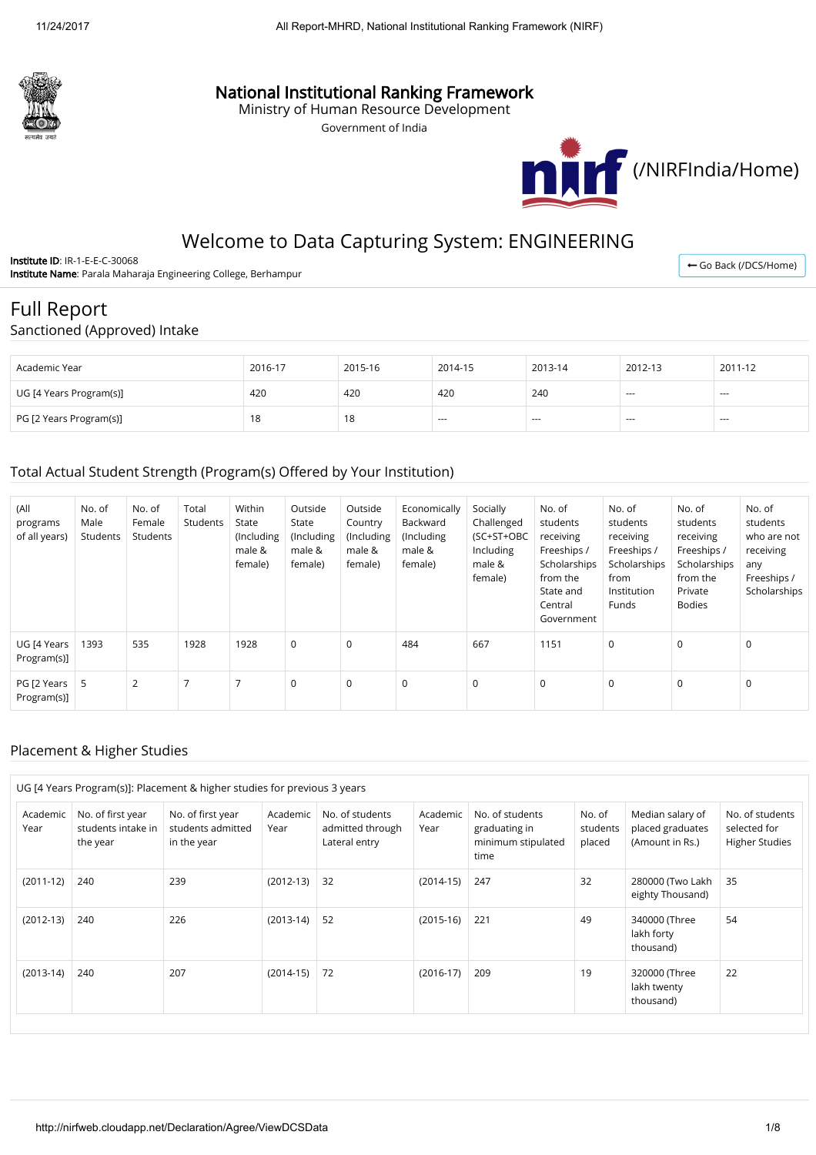

## National Institutional Ranking Framework

Ministry of Human Resource Development

Government of India



## Welcome to Data Capturing System: ENGINEERING

Institute ID: IR-1-E-E-C-30068 Institute Name: Parala Maharaja Engineering College, Berhampur

← [Go Back \(/DCS/Home\)](http://nirfweb.cloudapp.net/DCS/Home)

# Full Report

Sanctioned (Approved) Intake

| Academic Year           | 2016-17 | 2015-16 | 2014-15 | 2013-14       | 2012-13 | 2011-12 |
|-------------------------|---------|---------|---------|---------------|---------|---------|
| UG [4 Years Program(s)] | 420     | 420     | 420     | 240           | ---     | $- - -$ |
| PG [2 Years Program(s)] | 18      | 18      | $-$     | $\sim$ $\sim$ | $- - -$ | $- - -$ |

## Total Actual Student Strength (Program(s) Offered by Your Institution)

| (All<br>programs<br>of all years) | No. of<br>Male<br>Students | No. of<br>Female<br>Students | Total<br>Students | Within<br>State<br>(Including<br>male &<br>female) | Outside<br>State<br>(Including<br>male &<br>female) | Outside<br>Country<br>(Including<br>male &<br>female) | Economically<br>Backward<br>(Including<br>male &<br>female) | Socially<br>Challenged<br>(SC+ST+OBC<br>Including<br>male &<br>female) | No. of<br>students<br>receiving<br>Freeships /<br>Scholarships<br>from the<br>State and<br>Central<br>Government | No. of<br>students<br>receiving<br>Freeships /<br>Scholarships<br>from<br>Institution<br>Funds | No. of<br>students<br>receiving<br>Freeships /<br>Scholarships<br>from the<br>Private<br><b>Bodies</b> | No. of<br>students<br>who are not<br>receiving<br>any<br>Freeships /<br>Scholarships |
|-----------------------------------|----------------------------|------------------------------|-------------------|----------------------------------------------------|-----------------------------------------------------|-------------------------------------------------------|-------------------------------------------------------------|------------------------------------------------------------------------|------------------------------------------------------------------------------------------------------------------|------------------------------------------------------------------------------------------------|--------------------------------------------------------------------------------------------------------|--------------------------------------------------------------------------------------|
| UG [4 Years<br>Program(s)]        | 1393                       | 535                          | 1928              | 1928                                               | $\mathsf 0$                                         | $\mathbf 0$                                           | 484                                                         | 667                                                                    | 1151                                                                                                             | $\mathbf 0$                                                                                    | $\mathbf 0$                                                                                            | $\Omega$                                                                             |
| PG [2 Years<br>Program(s)]        | 5                          | $\overline{2}$               | $\overline{7}$    |                                                    | 0                                                   | 0                                                     | 0                                                           | 0                                                                      | $\mathbf 0$                                                                                                      | 0                                                                                              | $\mathbf 0$                                                                                            | $\mathbf 0$                                                                          |

#### Placement & Higher Studies

| UG [4 Years Program(s)]: Placement & higher studies for previous 3 years |                                                     |                                                       |                  |                                                      |                  |                                                                |                              |                                                         |                                                          |  |
|--------------------------------------------------------------------------|-----------------------------------------------------|-------------------------------------------------------|------------------|------------------------------------------------------|------------------|----------------------------------------------------------------|------------------------------|---------------------------------------------------------|----------------------------------------------------------|--|
| Academic<br>Year                                                         | No. of first year<br>students intake in<br>the year | No. of first year<br>students admitted<br>in the year | Academic<br>Year | No. of students<br>admitted through<br>Lateral entry | Academic<br>Year | No. of students<br>graduating in<br>minimum stipulated<br>time | No. of<br>students<br>placed | Median salary of<br>placed graduates<br>(Amount in Rs.) | No. of students<br>selected for<br><b>Higher Studies</b> |  |
| $(2011-12)$                                                              | 240                                                 | 239                                                   | $(2012-13)$      | 32                                                   | $(2014-15)$      | 247                                                            | 32                           | 280000 (Two Lakh<br>eighty Thousand)                    | 35                                                       |  |
| $(2012-13)$                                                              | 240                                                 | 226                                                   | $(2013-14)$      | 52                                                   | $(2015-16)$      | 221                                                            | 49                           | 340000 (Three<br>lakh forty<br>thousand)                | 54                                                       |  |
| $(2013-14)$                                                              | 240                                                 | 207                                                   | $(2014-15)$      | 72                                                   | $(2016-17)$      | 209                                                            | 19                           | 320000 (Three<br>lakh twenty<br>thousand)               | 22                                                       |  |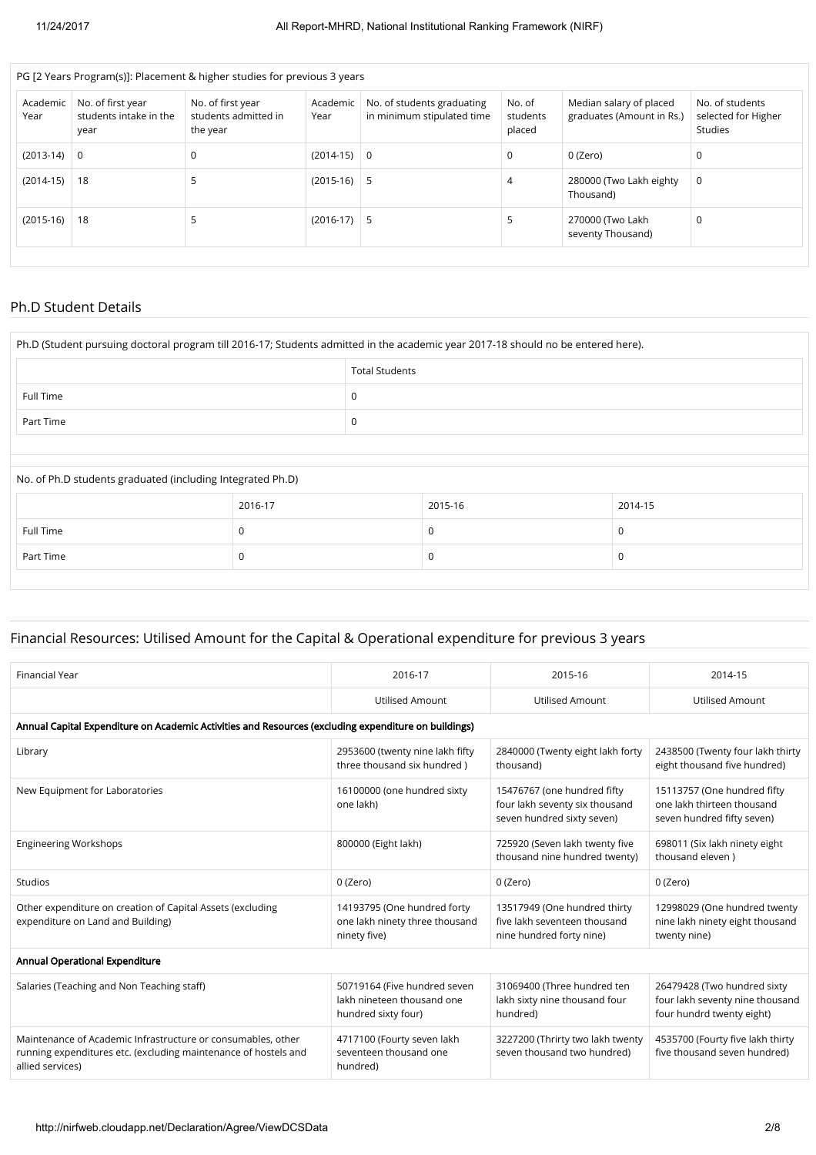|                                                                                                                                                                                                                                                  | PG [2 Years Program(s)]: Placement & higher studies for previous 3 years |                                                   |  |  |  |  |  |  |  |  |  |
|--------------------------------------------------------------------------------------------------------------------------------------------------------------------------------------------------------------------------------------------------|--------------------------------------------------------------------------|---------------------------------------------------|--|--|--|--|--|--|--|--|--|
| No. of first year<br>No. of first year<br>No. of<br>No. of students graduating<br>Academic<br>Academic<br>students intake in the<br>in minimum stipulated time<br>students admitted in<br>Year<br>Year<br>students<br>placed<br>the year<br>year | Median salary of placed<br>graduates (Amount in Rs.)                     | No. of students<br>selected for Higher<br>Studies |  |  |  |  |  |  |  |  |  |
| $(2013-14)$ 0<br>$(2014-15)$<br>$\Omega$<br>0<br>- 0                                                                                                                                                                                             | 0 (Zero)                                                                 | 0                                                 |  |  |  |  |  |  |  |  |  |
| $(2014-15)$<br>$(2015-16)$<br>18<br>5<br>5<br>4                                                                                                                                                                                                  | 280000 (Two Lakh eighty<br>Thousand)                                     | 0                                                 |  |  |  |  |  |  |  |  |  |
| $(2015-16)$<br>18<br>$(2016-17)$<br>5<br>5<br>כ                                                                                                                                                                                                  | 270000 (Two Lakh<br>seventy Thousand)                                    | 0                                                 |  |  |  |  |  |  |  |  |  |

#### Ph.D Student Details

| Ph.D (Student pursuing doctoral program till 2016-17; Students admitted in the academic year 2017-18 should no be entered here). |                       |   |         |          |  |  |  |  |  |
|----------------------------------------------------------------------------------------------------------------------------------|-----------------------|---|---------|----------|--|--|--|--|--|
|                                                                                                                                  | <b>Total Students</b> |   |         |          |  |  |  |  |  |
| Full Time                                                                                                                        |                       | 0 |         |          |  |  |  |  |  |
| Part Time                                                                                                                        | 0                     |   |         |          |  |  |  |  |  |
|                                                                                                                                  |                       |   |         |          |  |  |  |  |  |
| No. of Ph.D students graduated (including Integrated Ph.D)                                                                       |                       |   |         |          |  |  |  |  |  |
|                                                                                                                                  | 2016-17               |   | 2015-16 | 2014-15  |  |  |  |  |  |
| Full Time                                                                                                                        | $\Omega$              |   | O       | $\Omega$ |  |  |  |  |  |
| Part Time                                                                                                                        | 0                     |   |         | 0        |  |  |  |  |  |
|                                                                                                                                  |                       |   |         |          |  |  |  |  |  |

## Financial Resources: Utilised Amount for the Capital & Operational expenditure for previous 3 years

| 2016-17                                                                                              | 2015-16                                                                                     | 2014-15                                                                                     |  |  |  |  |  |  |  |  |  |
|------------------------------------------------------------------------------------------------------|---------------------------------------------------------------------------------------------|---------------------------------------------------------------------------------------------|--|--|--|--|--|--|--|--|--|
| <b>Utilised Amount</b>                                                                               | <b>Utilised Amount</b>                                                                      | <b>Utilised Amount</b>                                                                      |  |  |  |  |  |  |  |  |  |
| Annual Capital Expenditure on Academic Activities and Resources (excluding expenditure on buildings) |                                                                                             |                                                                                             |  |  |  |  |  |  |  |  |  |
| 2953600 (twenty nine lakh fifty<br>three thousand six hundred)                                       | 2840000 (Twenty eight lakh forty<br>thousand)                                               | 2438500 (Twenty four lakh thirty<br>eight thousand five hundred)                            |  |  |  |  |  |  |  |  |  |
| 16100000 (one hundred sixty<br>one lakh)                                                             | 15476767 (one hundred fifty<br>four lakh seventy six thousand<br>seven hundred sixty seven) | 15113757 (One hundred fifty<br>one lakh thirteen thousand<br>seven hundred fifty seven)     |  |  |  |  |  |  |  |  |  |
| 800000 (Eight lakh)                                                                                  | 725920 (Seven lakh twenty five<br>thousand nine hundred twenty)                             | 698011 (Six lakh ninety eight<br>thousand eleven)                                           |  |  |  |  |  |  |  |  |  |
| 0 (Zero)                                                                                             | 0 (Zero)                                                                                    | 0 (Zero)                                                                                    |  |  |  |  |  |  |  |  |  |
| 14193795 (One hundred forty<br>one lakh ninety three thousand<br>ninety five)                        | 13517949 (One hundred thirty<br>five lakh seventeen thousand<br>nine hundred forty nine)    | 12998029 (One hundred twenty<br>nine lakh ninety eight thousand<br>twenty nine)             |  |  |  |  |  |  |  |  |  |
|                                                                                                      |                                                                                             |                                                                                             |  |  |  |  |  |  |  |  |  |
| 50719164 (Five hundred seven<br>lakh nineteen thousand one<br>hundred sixty four)                    | 31069400 (Three hundred ten<br>lakh sixty nine thousand four<br>hundred)                    | 26479428 (Two hundred sixty<br>four lakh seventy nine thousand<br>four hundrd twenty eight) |  |  |  |  |  |  |  |  |  |
| 4717100 (Fourty seven lakh<br>seventeen thousand one<br>hundred)                                     | 3227200 (Thrirty two lakh twenty<br>seven thousand two hundred)                             | 4535700 (Fourty five lakh thirty<br>five thousand seven hundred)                            |  |  |  |  |  |  |  |  |  |
|                                                                                                      |                                                                                             |                                                                                             |  |  |  |  |  |  |  |  |  |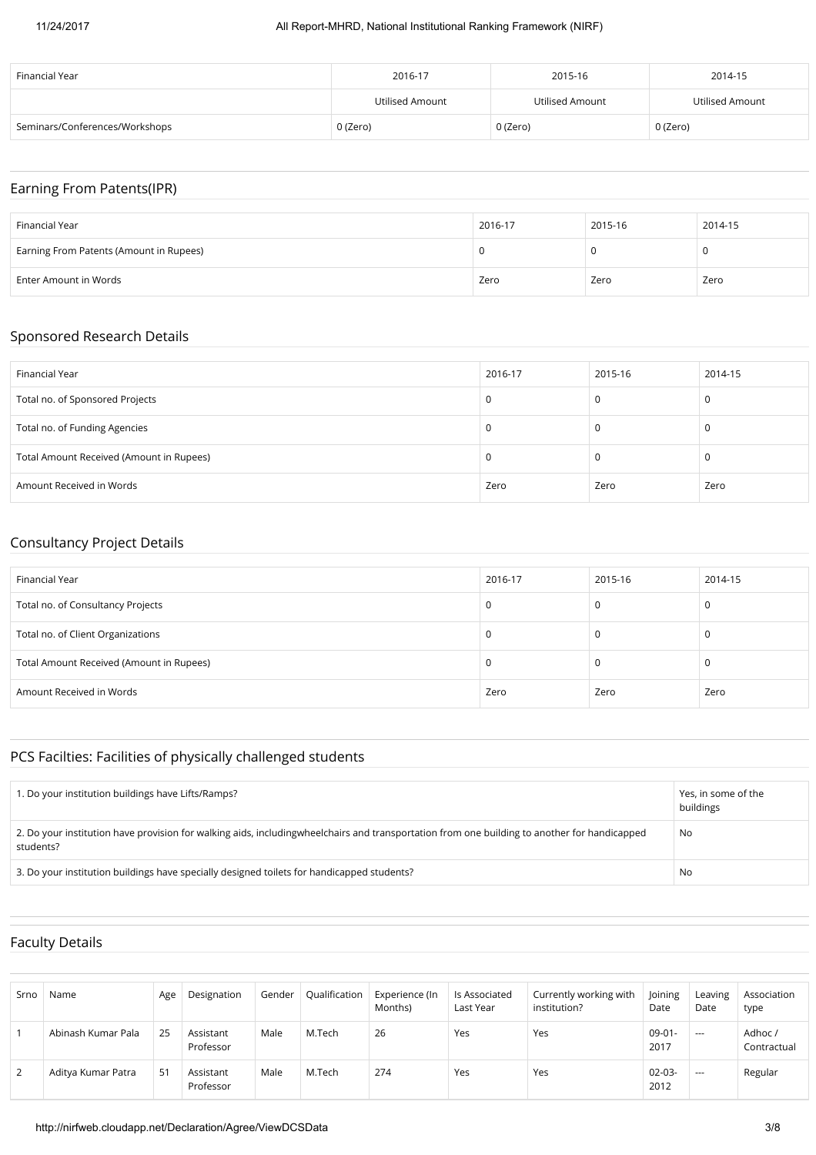#### 11/24/2017 All Report-MHRD, National Institutional Ranking Framework (NIRF)

| Financial Year                 | 2016-17         | 2015-16         | 2014-15         |
|--------------------------------|-----------------|-----------------|-----------------|
|                                | Utilised Amount | Utilised Amount | Utilised Amount |
| Seminars/Conferences/Workshops | 0 (Zero)        | 0 (Zero)        | 0 (Zero)        |

## Earning From Patents(IPR)

| Financial Year                          | 2016-17 | 2015-16 | 2014-15 |
|-----------------------------------------|---------|---------|---------|
| Earning From Patents (Amount in Rupees) | U       | u       |         |
| Enter Amount in Words                   | Zero    | Zero    | Zero    |

#### Sponsored Research Details

| Financial Year                           | 2016-17 | 2015-16 | 2014-15 |
|------------------------------------------|---------|---------|---------|
| Total no. of Sponsored Projects          | 0       |         |         |
| Total no. of Funding Agencies            | 0       |         |         |
| Total Amount Received (Amount in Rupees) | 0       | 0       | υ       |
| Amount Received in Words                 | Zero    | Zero    | Zero    |

## Consultancy Project Details

| Financial Year                           | 2016-17 | 2015-16 | 2014-15 |
|------------------------------------------|---------|---------|---------|
| Total no. of Consultancy Projects        | τ       |         | J.      |
| Total no. of Client Organizations        |         |         | τ.      |
| Total Amount Received (Amount in Rupees) |         |         | J.      |
| Amount Received in Words                 | Zero    | Zero    | Zero    |

## PCS Facilties: Facilities of physically challenged students

| 1. Do your institution buildings have Lifts/Ramps?                                                                                                        | Yes, in some of the<br>buildings |
|-----------------------------------------------------------------------------------------------------------------------------------------------------------|----------------------------------|
| 2. Do your institution have provision for walking aids, includingwheelchairs and transportation from one building to another for handicapped<br>students? | No.                              |
| 3. Do your institution buildings have specially designed toilets for handicapped students?                                                                | No                               |

## Faculty Details

| Srno | Name               | Age | Designation            | Gender | Qualification | Experience (In<br>Months) | Is Associated<br>Last Year | Currently working with<br>institution? | Joining<br>Date     | Leaving<br>Date | Association<br>type    |
|------|--------------------|-----|------------------------|--------|---------------|---------------------------|----------------------------|----------------------------------------|---------------------|-----------------|------------------------|
|      | Abinash Kumar Pala | 25  | Assistant<br>Professor | Male   | M.Tech        | 26                        | Yes                        | Yes                                    | $09 - 01 -$<br>2017 | $- - -$         | Adhoc /<br>Contractual |
| 2    | Aditya Kumar Patra | 51  | Assistant<br>Professor | Male   | M.Tech        | 274                       | Yes                        | Yes                                    | $02 - 03 -$<br>2012 | $--$            | Regular                |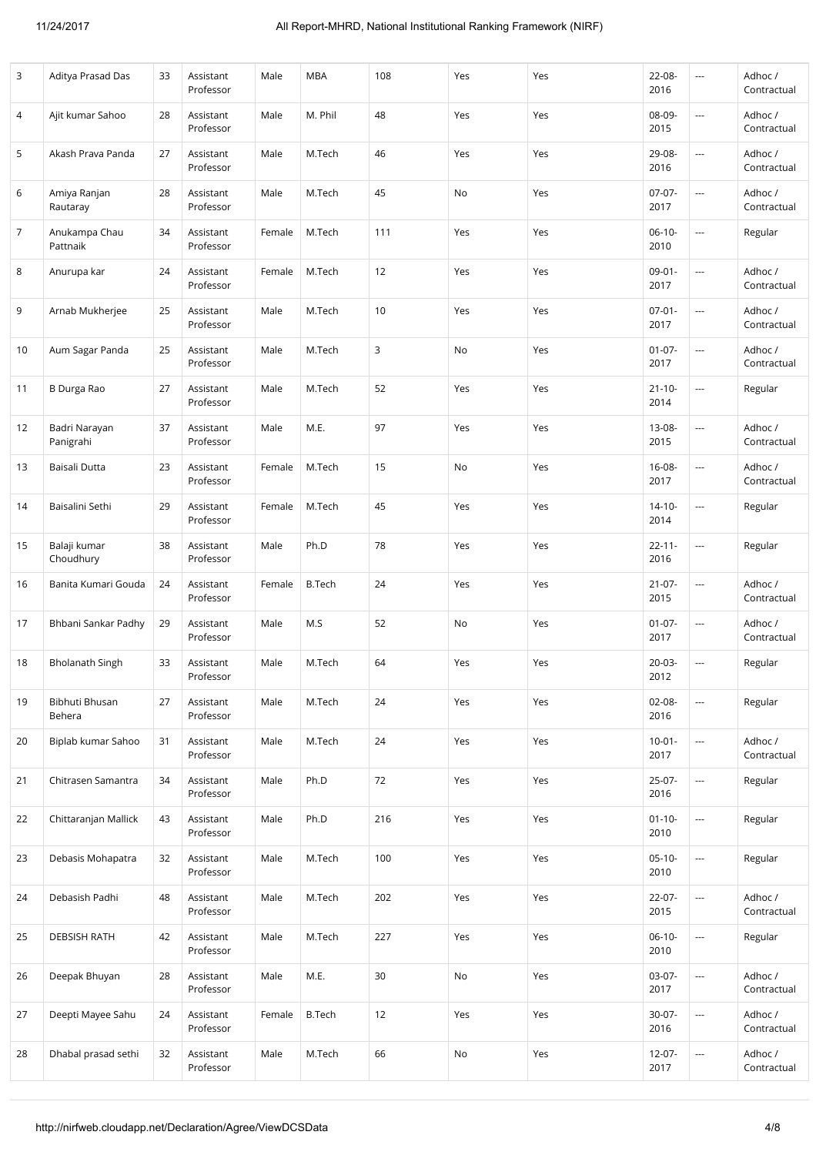| 3  | Aditya Prasad Das          | 33 | Assistant<br>Professor | Male   | <b>MBA</b>    | 108 | Yes | Yes | 22-08-<br>2016      | ---                      | Adhoc /<br>Contractual |
|----|----------------------------|----|------------------------|--------|---------------|-----|-----|-----|---------------------|--------------------------|------------------------|
| 4  | Ajit kumar Sahoo           | 28 | Assistant<br>Professor | Male   | M. Phil       | 48  | Yes | Yes | 08-09-<br>2015      | ---                      | Adhoc/<br>Contractual  |
| 5  | Akash Prava Panda          | 27 | Assistant<br>Professor | Male   | M.Tech        | 46  | Yes | Yes | 29-08-<br>2016      | $\overline{a}$           | Adhoc/<br>Contractual  |
| 6  | Amiya Ranjan<br>Rautaray   | 28 | Assistant<br>Professor | Male   | M.Tech        | 45  | No  | Yes | $07-07-$<br>2017    | $\overline{a}$           | Adhoc /<br>Contractual |
| 7  | Anukampa Chau<br>Pattnaik  | 34 | Assistant<br>Professor | Female | M.Tech        | 111 | Yes | Yes | $06-10-$<br>2010    | ---                      | Regular                |
| 8  | Anurupa kar                | 24 | Assistant<br>Professor | Female | M.Tech        | 12  | Yes | Yes | $09 - 01 -$<br>2017 | ---                      | Adhoc /<br>Contractual |
| 9  | Arnab Mukherjee            | 25 | Assistant<br>Professor | Male   | M.Tech        | 10  | Yes | Yes | $07 - 01 -$<br>2017 | ---                      | Adhoc/<br>Contractual  |
| 10 | Aum Sagar Panda            | 25 | Assistant<br>Professor | Male   | M.Tech        | 3   | No  | Yes | $01 - 07 -$<br>2017 | ---                      | Adhoc/<br>Contractual  |
| 11 | <b>B</b> Durga Rao         | 27 | Assistant<br>Professor | Male   | M.Tech        | 52  | Yes | Yes | $21 - 10 -$<br>2014 | ---                      | Regular                |
| 12 | Badri Narayan<br>Panigrahi | 37 | Assistant<br>Professor | Male   | M.E.          | 97  | Yes | Yes | 13-08-<br>2015      | ---                      | Adhoc/<br>Contractual  |
| 13 | Baisali Dutta              | 23 | Assistant<br>Professor | Female | M.Tech        | 15  | No  | Yes | 16-08-<br>2017      | ---                      | Adhoc/<br>Contractual  |
| 14 | Baisalini Sethi            | 29 | Assistant<br>Professor | Female | M.Tech        | 45  | Yes | Yes | $14 - 10 -$<br>2014 | ---                      | Regular                |
| 15 | Balaji kumar<br>Choudhury  | 38 | Assistant<br>Professor | Male   | Ph.D          | 78  | Yes | Yes | $22 - 11 -$<br>2016 | ---                      | Regular                |
| 16 | Banita Kumari Gouda        | 24 | Assistant<br>Professor | Female | <b>B.Tech</b> | 24  | Yes | Yes | $21 - 07 -$<br>2015 | ---                      | Adhoc/<br>Contractual  |
| 17 | Bhbani Sankar Padhy        | 29 | Assistant<br>Professor | Male   | M.S           | 52  | No  | Yes | $01 - 07 -$<br>2017 | ---                      | Adhoc/<br>Contractual  |
| 18 | <b>Bholanath Singh</b>     | 33 | Assistant<br>Professor | Male   | M.Tech        | 64  | Yes | Yes | 20-03-<br>2012      | ---                      | Regular                |
| 19 | Bibhuti Bhusan<br>Behera   | 27 | Assistant<br>Professor | Male   | M.Tech        | 24  | Yes | Yes | $02 - 08 -$<br>2016 | ---                      | Regular                |
| 20 | Biplab kumar Sahoo         | 31 | Assistant<br>Professor | Male   | M.Tech        | 24  | Yes | Yes | $10-01 -$<br>2017   | ---                      | Adhoc /<br>Contractual |
| 21 | Chitrasen Samantra         | 34 | Assistant<br>Professor | Male   | Ph.D          | 72  | Yes | Yes | $25-07-$<br>2016    | ---                      | Regular                |
| 22 | Chittaranjan Mallick       | 43 | Assistant<br>Professor | Male   | Ph.D          | 216 | Yes | Yes | $01 - 10 -$<br>2010 | ---                      | Regular                |
| 23 | Debasis Mohapatra          | 32 | Assistant<br>Professor | Male   | M.Tech        | 100 | Yes | Yes | $05-10-$<br>2010    | ---                      | Regular                |
| 24 | Debasish Padhi             | 48 | Assistant<br>Professor | Male   | M.Tech        | 202 | Yes | Yes | $22 - 07 -$<br>2015 | ---                      | Adhoc /<br>Contractual |
| 25 | <b>DEBSISH RATH</b>        | 42 | Assistant<br>Professor | Male   | M.Tech        | 227 | Yes | Yes | $06-10-$<br>2010    | $\overline{\phantom{a}}$ | Regular                |
| 26 | Deepak Bhuyan              | 28 | Assistant<br>Professor | Male   | M.E.          | 30  | No  | Yes | $03-07-$<br>2017    | ---                      | Adhoc /<br>Contractual |
| 27 | Deepti Mayee Sahu          | 24 | Assistant<br>Professor | Female | <b>B.Tech</b> | 12  | Yes | Yes | 30-07-<br>2016      | ---                      | Adhoc/<br>Contractual  |
| 28 | Dhabal prasad sethi        | 32 | Assistant<br>Professor | Male   | M.Tech        | 66  | No  | Yes | $12 - 07 -$<br>2017 | ---                      | Adhoc/<br>Contractual  |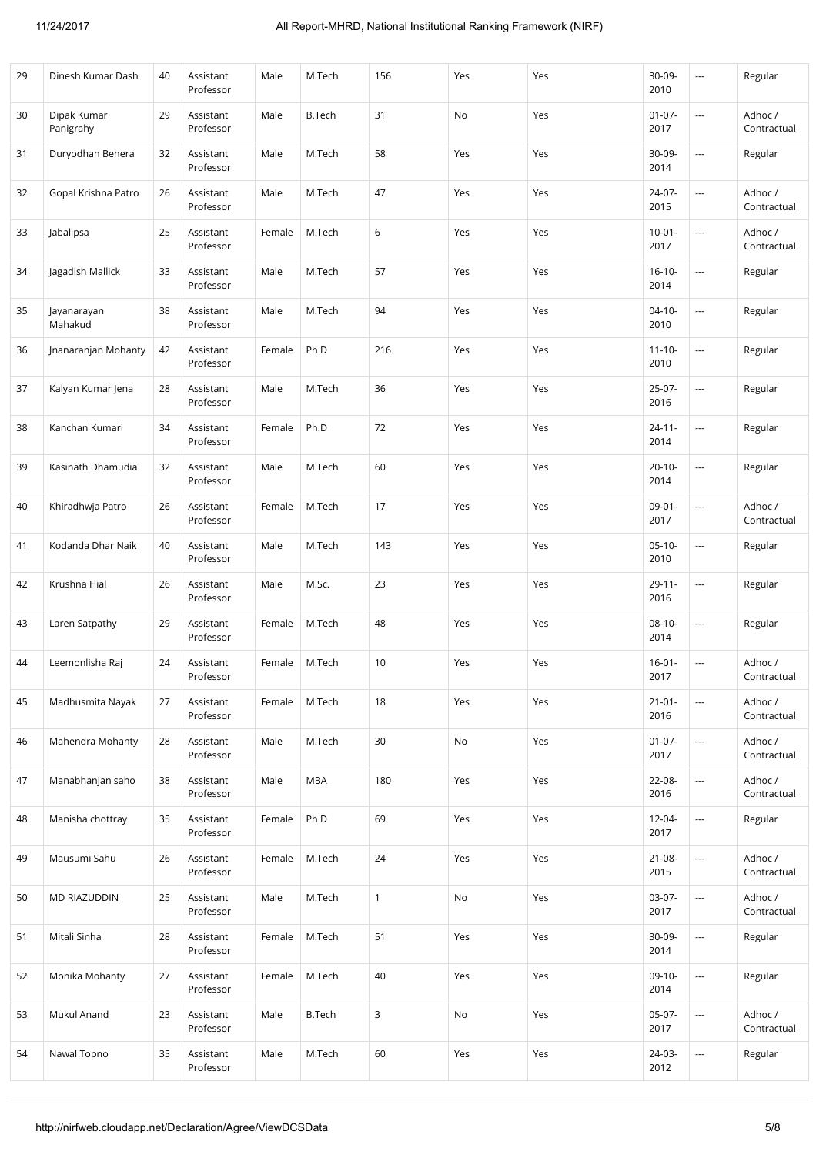| 29 | Dinesh Kumar Dash        | 40 | Assistant<br>Professor | Male   | M.Tech        | 156          | Yes | Yes | 30-09-<br>2010      | $\sim$                   | Regular                |
|----|--------------------------|----|------------------------|--------|---------------|--------------|-----|-----|---------------------|--------------------------|------------------------|
| 30 | Dipak Kumar<br>Panigrahy | 29 | Assistant<br>Professor | Male   | <b>B.Tech</b> | 31           | No  | Yes | $01 - 07 -$<br>2017 | $\overline{\phantom{a}}$ | Adhoc /<br>Contractual |
| 31 | Duryodhan Behera         | 32 | Assistant<br>Professor | Male   | M.Tech        | 58           | Yes | Yes | 30-09-<br>2014      | $\sim$                   | Regular                |
| 32 | Gopal Krishna Patro      | 26 | Assistant<br>Professor | Male   | M.Tech        | 47           | Yes | Yes | 24-07-<br>2015      | $\overline{\phantom{a}}$ | Adhoc /<br>Contractual |
| 33 | Jabalipsa                | 25 | Assistant<br>Professor | Female | M.Tech        | 6            | Yes | Yes | $10 - 01 -$<br>2017 | $\cdots$                 | Adhoc/<br>Contractual  |
| 34 | Jagadish Mallick         | 33 | Assistant<br>Professor | Male   | M.Tech        | 57           | Yes | Yes | $16 - 10 -$<br>2014 | $\overline{\phantom{a}}$ | Regular                |
| 35 | Jayanarayan<br>Mahakud   | 38 | Assistant<br>Professor | Male   | M.Tech        | 94           | Yes | Yes | $04-10-$<br>2010    | $\sim$                   | Regular                |
| 36 | Jnanaranjan Mohanty      | 42 | Assistant<br>Professor | Female | Ph.D          | 216          | Yes | Yes | $11 - 10 -$<br>2010 | $\hspace{0.05cm} \ldots$ | Regular                |
| 37 | Kalyan Kumar Jena        | 28 | Assistant<br>Professor | Male   | M.Tech        | 36           | Yes | Yes | $25-07-$<br>2016    | $\hspace{0.05cm} \ldots$ | Regular                |
| 38 | Kanchan Kumari           | 34 | Assistant<br>Professor | Female | Ph.D          | 72           | Yes | Yes | $24 - 11 -$<br>2014 | $\sim$                   | Regular                |
| 39 | Kasinath Dhamudia        | 32 | Assistant<br>Professor | Male   | M.Tech        | 60           | Yes | Yes | $20 - 10 -$<br>2014 | $\cdots$                 | Regular                |
| 40 | Khiradhwja Patro         | 26 | Assistant<br>Professor | Female | M.Tech        | 17           | Yes | Yes | $09 - 01 -$<br>2017 | $\overline{\phantom{a}}$ | Adhoc /<br>Contractual |
| 41 | Kodanda Dhar Naik        | 40 | Assistant<br>Professor | Male   | M.Tech        | 143          | Yes | Yes | $05-10-$<br>2010    | $\cdots$                 | Regular                |
| 42 | Krushna Hial             | 26 | Assistant<br>Professor | Male   | M.Sc.         | 23           | Yes | Yes | $29 - 11 -$<br>2016 | ---                      | Regular                |
| 43 | Laren Satpathy           | 29 | Assistant<br>Professor | Female | M.Tech        | 48           | Yes | Yes | $08-10-$<br>2014    | $\sim$                   | Regular                |
| 44 | Leemonlisha Raj          | 24 | Assistant<br>Professor | Female | M.Tech        | 10           | Yes | Yes | $16 - 01 -$<br>2017 | $\sim$                   | Adhoc /<br>Contractual |
| 45 | Madhusmita Nayak         | 27 | Assistant<br>Professor | Female | M.Tech        | 18           | Yes | Yes | $21 - 01 -$<br>2016 | $\hspace{0.05cm} \ldots$ | Adhoc /<br>Contractual |
| 46 | Mahendra Mohanty         | 28 | Assistant<br>Professor | Male   | M.Tech        | 30           | No  | Yes | $01-07-$<br>2017    | $\overline{\phantom{a}}$ | Adhoc /<br>Contractual |
| 47 | Manabhanjan saho         | 38 | Assistant<br>Professor | Male   | <b>MBA</b>    | 180          | Yes | Yes | 22-08-<br>2016      | $\cdots$                 | Adhoc /<br>Contractual |
| 48 | Manisha chottray         | 35 | Assistant<br>Professor | Female | Ph.D          | 69           | Yes | Yes | $12 - 04 -$<br>2017 | $\overline{\phantom{a}}$ | Regular                |
| 49 | Mausumi Sahu             | 26 | Assistant<br>Professor | Female | M.Tech        | 24           | Yes | Yes | $21 - 08 -$<br>2015 | $\hspace{0.05cm} \ldots$ | Adhoc /<br>Contractual |
| 50 | MD RIAZUDDIN             | 25 | Assistant<br>Professor | Male   | M.Tech        | $\mathbf{1}$ | No  | Yes | $03-07-$<br>2017    | $\overline{\phantom{a}}$ | Adhoc /<br>Contractual |
| 51 | Mitali Sinha             | 28 | Assistant<br>Professor | Female | M.Tech        | 51           | Yes | Yes | 30-09-<br>2014      | $\sim$                   | Regular                |
| 52 | Monika Mohanty           | 27 | Assistant<br>Professor | Female | M.Tech        | 40           | Yes | Yes | $09-10-$<br>2014    | ---                      | Regular                |
| 53 | Mukul Anand              | 23 | Assistant<br>Professor | Male   | <b>B.Tech</b> | 3            | No  | Yes | $05-07-$<br>2017    | $\cdots$                 | Adhoc /<br>Contractual |
| 54 | Nawal Topno              | 35 | Assistant<br>Professor | Male   | M.Tech        | 60           | Yes | Yes | $24-03-$<br>2012    | $\hspace{0.05cm} \cdots$ | Regular                |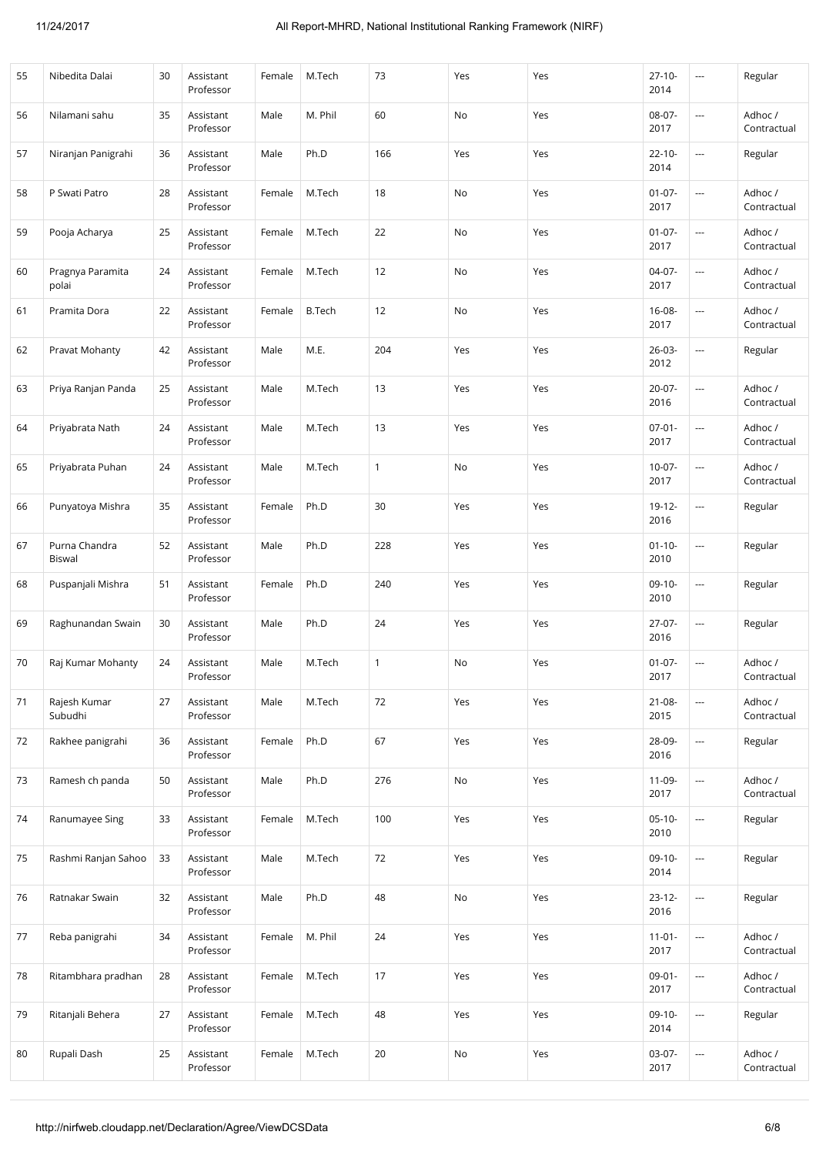| 55 | Nibedita Dalai            | 30 | Assistant<br>Professor | Female | M.Tech        | 73           | Yes | Yes | $27 - 10 -$<br>2014 | $\sim$                   | Regular                |
|----|---------------------------|----|------------------------|--------|---------------|--------------|-----|-----|---------------------|--------------------------|------------------------|
| 56 | Nilamani sahu             | 35 | Assistant<br>Professor | Male   | M. Phil       | 60           | No  | Yes | $08-07-$<br>2017    | $\overline{\phantom{a}}$ | Adhoc /<br>Contractual |
| 57 | Niranjan Panigrahi        | 36 | Assistant<br>Professor | Male   | Ph.D          | 166          | Yes | Yes | $22 - 10 -$<br>2014 | $\overline{\phantom{a}}$ | Regular                |
| 58 | P Swati Patro             | 28 | Assistant<br>Professor | Female | M.Tech        | 18           | No  | Yes | $01 - 07 -$<br>2017 | $\overline{\phantom{a}}$ | Adhoc /<br>Contractual |
| 59 | Pooja Acharya             | 25 | Assistant<br>Professor | Female | M.Tech        | 22           | No  | Yes | $01 - 07 -$<br>2017 | $\ldots$                 | Adhoc /<br>Contractual |
| 60 | Pragnya Paramita<br>polai | 24 | Assistant<br>Professor | Female | M.Tech        | 12           | No  | Yes | 04-07-<br>2017      | $\overline{\phantom{a}}$ | Adhoc /<br>Contractual |
| 61 | Pramita Dora              | 22 | Assistant<br>Professor | Female | <b>B.Tech</b> | 12           | No  | Yes | $16 - 08 -$<br>2017 | $\sim$                   | Adhoc /<br>Contractual |
| 62 | Pravat Mohanty            | 42 | Assistant<br>Professor | Male   | M.E.          | 204          | Yes | Yes | $26 - 03 -$<br>2012 | $\overline{\phantom{a}}$ | Regular                |
| 63 | Priya Ranjan Panda        | 25 | Assistant<br>Professor | Male   | M.Tech        | 13           | Yes | Yes | $20 - 07 -$<br>2016 | $\ldots$                 | Adhoc /<br>Contractual |
| 64 | Priyabrata Nath           | 24 | Assistant<br>Professor | Male   | M.Tech        | 13           | Yes | Yes | $07 - 01 -$<br>2017 | ---                      | Adhoc /<br>Contractual |
| 65 | Priyabrata Puhan          | 24 | Assistant<br>Professor | Male   | M.Tech        | 1            | No  | Yes | $10-07-$<br>2017    | ---                      | Adhoc /<br>Contractual |
| 66 | Punyatoya Mishra          | 35 | Assistant<br>Professor | Female | Ph.D          | 30           | Yes | Yes | $19 - 12 -$<br>2016 | $\overline{\phantom{a}}$ | Regular                |
| 67 | Purna Chandra<br>Biswal   | 52 | Assistant<br>Professor | Male   | Ph.D          | 228          | Yes | Yes | $01 - 10 -$<br>2010 | ---                      | Regular                |
| 68 | Puspanjali Mishra         | 51 | Assistant<br>Professor | Female | Ph.D          | 240          | Yes | Yes | $09-10-$<br>2010    | ---                      | Regular                |
| 69 | Raghunandan Swain         | 30 | Assistant<br>Professor | Male   | Ph.D          | 24           | Yes | Yes | 27-07-<br>2016      | ---                      | Regular                |
| 70 | Raj Kumar Mohanty         | 24 | Assistant<br>Professor | Male   | M.Tech        | $\mathbf{1}$ | No  | Yes | $01-07-$<br>2017    | $\sim$                   | Adhoc /<br>Contractual |
| 71 | Rajesh Kumar<br>Subudhi   | 27 | Assistant<br>Professor | Male   | M.Tech        | 72           | Yes | Yes | $21 - 08 -$<br>2015 | $\overline{\phantom{a}}$ | Adhoc /<br>Contractual |
| 72 | Rakhee panigrahi          | 36 | Assistant<br>Professor | Female | Ph.D          | 67           | Yes | Yes | 28-09-<br>2016      | $\hspace{0.05cm}\ldots$  | Regular                |
| 73 | Ramesh ch panda           | 50 | Assistant<br>Professor | Male   | Ph.D          | 276          | No  | Yes | 11-09-<br>2017      | $\overline{\phantom{a}}$ | Adhoc /<br>Contractual |
| 74 | Ranumayee Sing            | 33 | Assistant<br>Professor | Female | M.Tech        | 100          | Yes | Yes | $05-10-$<br>2010    | ---                      | Regular                |
| 75 | Rashmi Ranjan Sahoo       | 33 | Assistant<br>Professor | Male   | M.Tech        | 72           | Yes | Yes | $09-10-$<br>2014    | $\ldots$                 | Regular                |
| 76 | Ratnakar Swain            | 32 | Assistant<br>Professor | Male   | Ph.D          | 48           | No  | Yes | $23 - 12 -$<br>2016 | $\ldots$                 | Regular                |
| 77 | Reba panigrahi            | 34 | Assistant<br>Professor | Female | M. Phil       | 24           | Yes | Yes | $11-01-$<br>2017    | $\overline{a}$           | Adhoc /<br>Contractual |
| 78 | Ritambhara pradhan        | 28 | Assistant<br>Professor | Female | M.Tech        | 17           | Yes | Yes | $09-01-$<br>2017    | $\overline{a}$           | Adhoc /<br>Contractual |
| 79 | Ritanjali Behera          | 27 | Assistant<br>Professor | Female | M.Tech        | 48           | Yes | Yes | $09-10-$<br>2014    | $\ldots$                 | Regular                |
| 80 | Rupali Dash               | 25 | Assistant<br>Professor | Female | M.Tech        | 20           | No  | Yes | $03-07-$<br>2017    | $\ldots$                 | Adhoc /<br>Contractual |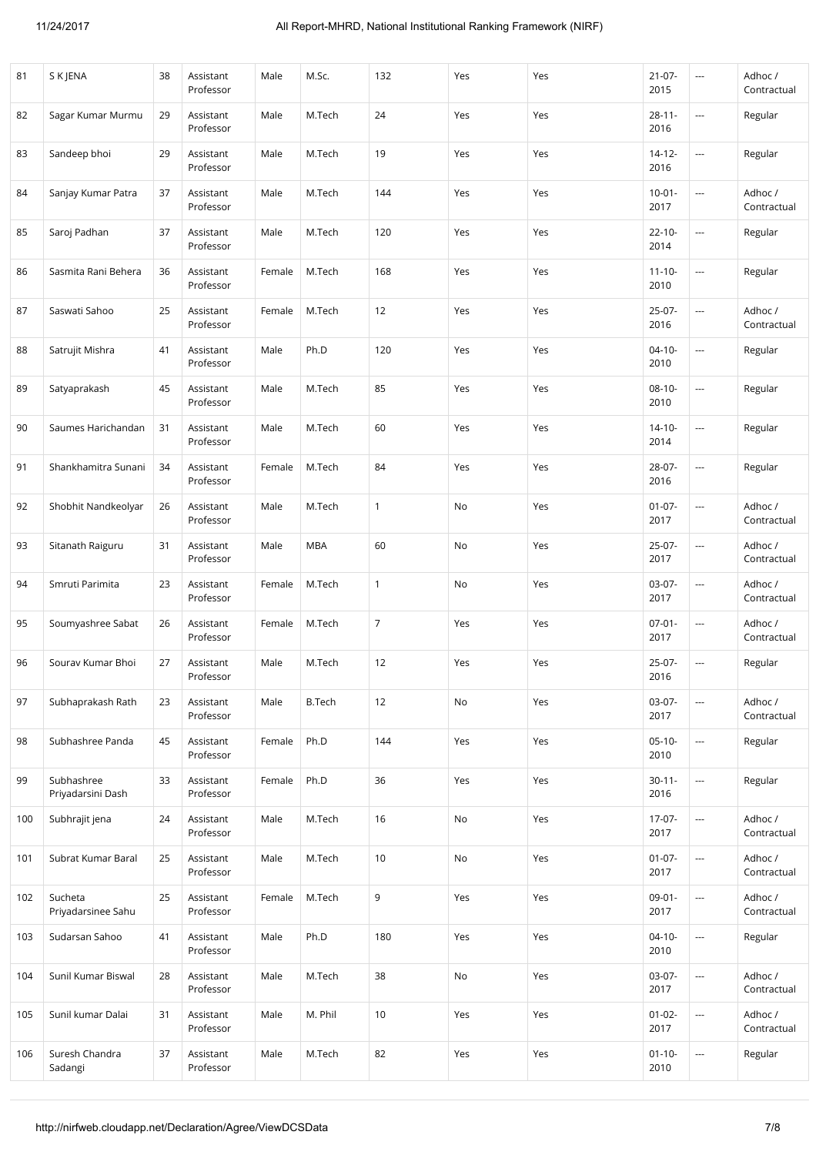| 81  | S K JENA                        | 38 | Assistant<br>Professor | Male   | M.Sc.         | 132            | Yes | Yes | $21 - 07 -$<br>2015 | $\sim$                   | Adhoc /<br>Contractual |
|-----|---------------------------------|----|------------------------|--------|---------------|----------------|-----|-----|---------------------|--------------------------|------------------------|
| 82  | Sagar Kumar Murmu               | 29 | Assistant<br>Professor | Male   | M.Tech        | 24             | Yes | Yes | $28 - 11 -$<br>2016 | ---                      | Regular                |
| 83  | Sandeep bhoi                    | 29 | Assistant<br>Professor | Male   | M.Tech        | 19             | Yes | Yes | $14 - 12 -$<br>2016 | ---                      | Regular                |
| 84  | Sanjay Kumar Patra              | 37 | Assistant<br>Professor | Male   | M.Tech        | 144            | Yes | Yes | $10 - 01 -$<br>2017 | ---                      | Adhoc/<br>Contractual  |
| 85  | Saroj Padhan                    | 37 | Assistant<br>Professor | Male   | M.Tech        | 120            | Yes | Yes | $22 - 10 -$<br>2014 | ---                      | Regular                |
| 86  | Sasmita Rani Behera             | 36 | Assistant<br>Professor | Female | M.Tech        | 168            | Yes | Yes | $11 - 10 -$<br>2010 | ---                      | Regular                |
| 87  | Saswati Sahoo                   | 25 | Assistant<br>Professor | Female | M.Tech        | 12             | Yes | Yes | 25-07-<br>2016      | $\overline{\phantom{a}}$ | Adhoc/<br>Contractual  |
| 88  | Satrujit Mishra                 | 41 | Assistant<br>Professor | Male   | Ph.D          | 120            | Yes | Yes | $04 - 10 -$<br>2010 | ---                      | Regular                |
| 89  | Satyaprakash                    | 45 | Assistant<br>Professor | Male   | M.Tech        | 85             | Yes | Yes | $08-10-$<br>2010    | ---                      | Regular                |
| 90  | Saumes Harichandan              | 31 | Assistant<br>Professor | Male   | M.Tech        | 60             | Yes | Yes | $14 - 10 -$<br>2014 | ---                      | Regular                |
| 91  | Shankhamitra Sunani             | 34 | Assistant<br>Professor | Female | M.Tech        | 84             | Yes | Yes | 28-07-<br>2016      | ---                      | Regular                |
| 92  | Shobhit Nandkeolyar             | 26 | Assistant<br>Professor | Male   | M.Tech        | $\mathbf{1}$   | No  | Yes | $01 - 07 -$<br>2017 | ---                      | Adhoc/<br>Contractual  |
| 93  | Sitanath Raiguru                | 31 | Assistant<br>Professor | Male   | <b>MBA</b>    | 60             | No  | Yes | $25-07-$<br>2017    | $\overline{\phantom{a}}$ | Adhoc/<br>Contractual  |
| 94  | Smruti Parimita                 | 23 | Assistant<br>Professor | Female | M.Tech        | $\mathbf{1}$   | No  | Yes | 03-07-<br>2017      | ---                      | Adhoc/<br>Contractual  |
| 95  | Soumyashree Sabat               | 26 | Assistant<br>Professor | Female | M.Tech        | $\overline{7}$ | Yes | Yes | $07 - 01 -$<br>2017 | ---                      | Adhoc/<br>Contractual  |
| 96  | Sourav Kumar Bhoi               | 27 | Assistant<br>Professor | Male   | M.Tech        | 12             | Yes | Yes | $25-07-$<br>2016    | $\overline{\phantom{a}}$ | Regular                |
| 97  | Subhaprakash Rath               | 23 | Assistant<br>Professor | Male   | <b>B.Tech</b> | 12             | No  | Yes | $03-07-$<br>2017    | ---                      | Adhoc/<br>Contractual  |
| 98  | Subhashree Panda                | 45 | Assistant<br>Professor | Female | Ph.D          | 144            | Yes | Yes | $05-10-$<br>2010    | ---                      | Regular                |
| 99  | Subhashree<br>Priyadarsini Dash | 33 | Assistant<br>Professor | Female | Ph.D          | 36             | Yes | Yes | $30 - 11 -$<br>2016 | ---                      | Regular                |
| 100 | Subhrajit jena                  | 24 | Assistant<br>Professor | Male   | M.Tech        | 16             | No  | Yes | $17-07-$<br>2017    | ---                      | Adhoc /<br>Contractual |
| 101 | Subrat Kumar Baral              | 25 | Assistant<br>Professor | Male   | M.Tech        | 10             | No  | Yes | $01 - 07 -$<br>2017 | $\hspace{0.05cm} \ldots$ | Adhoc/<br>Contractual  |
| 102 | Sucheta<br>Priyadarsinee Sahu   | 25 | Assistant<br>Professor | Female | M.Tech        | 9              | Yes | Yes | $09-01-$<br>2017    | ---                      | Adhoc /<br>Contractual |
| 103 | Sudarsan Sahoo                  | 41 | Assistant<br>Professor | Male   | Ph.D          | 180            | Yes | Yes | $04-10-$<br>2010    | $\overline{\phantom{a}}$ | Regular                |
| 104 | Sunil Kumar Biswal              | 28 | Assistant<br>Professor | Male   | M.Tech        | 38             | No  | Yes | $03-07-$<br>2017    | ---                      | Adhoc/<br>Contractual  |
| 105 | Sunil kumar Dalai               | 31 | Assistant<br>Professor | Male   | M. Phil       | 10             | Yes | Yes | $01 - 02 -$<br>2017 | ---                      | Adhoc/<br>Contractual  |
| 106 | Suresh Chandra<br>Sadangi       | 37 | Assistant<br>Professor | Male   | M.Tech        | 82             | Yes | Yes | $01 - 10 -$<br>2010 | ---                      | Regular                |